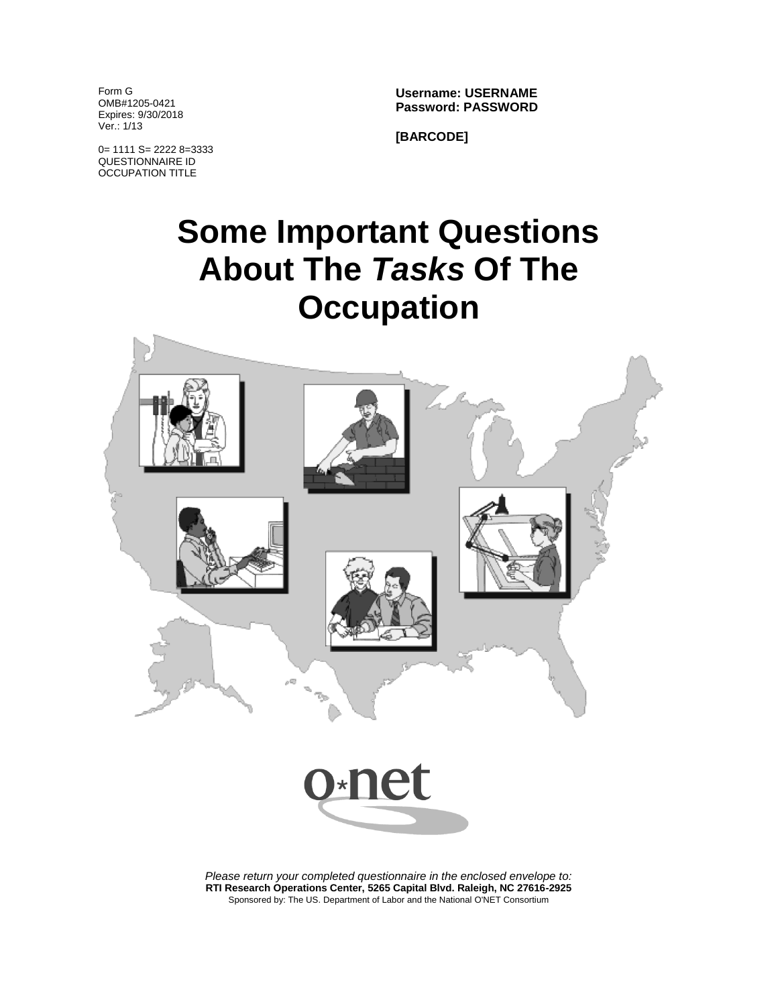Form G OMB#1205-0421 Expires: 9/30/2018 Ver.: 1/13

**Username: USERNAME Password: PASSWORD**

0= 1111 S= 2222 8=3333 QUESTIONNAIRE ID OCCUPATION TITLE

**[BARCODE]**

# **Some Important Questions About The** *Tasks* **Of The Occupation**



*Please return your completed questionnaire in the enclosed envelope to:* **RTI Research Operations Center, 5265 Capital Blvd. Raleigh, NC 27616-2925** Sponsored by: The US. Department of Labor and the National O'NET Consortium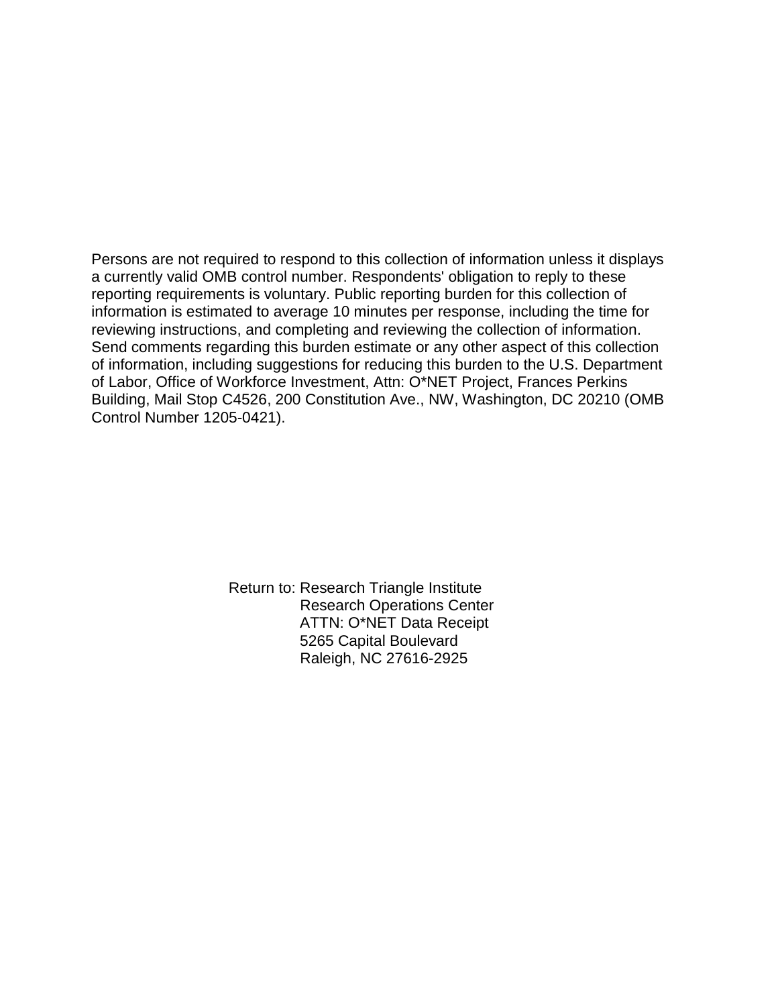Persons are not required to respond to this collection of information unless it displays a currently valid OMB control number. Respondents' obligation to reply to these reporting requirements is voluntary. Public reporting burden for this collection of information is estimated to average 10 minutes per response, including the time for reviewing instructions, and completing and reviewing the collection of information. Send comments regarding this burden estimate or any other aspect of this collection of information, including suggestions for reducing this burden to the U.S. Department of Labor, Office of Workforce Investment, Attn: O\*NET Project, Frances Perkins Building, Mail Stop C4526, 200 Constitution Ave., NW, Washington, DC 20210 (OMB Control Number 1205-0421).

> Return to: Research Triangle Institute Research Operations Center ATTN: O\*NET Data Receipt 5265 Capital Boulevard Raleigh, NC 27616-2925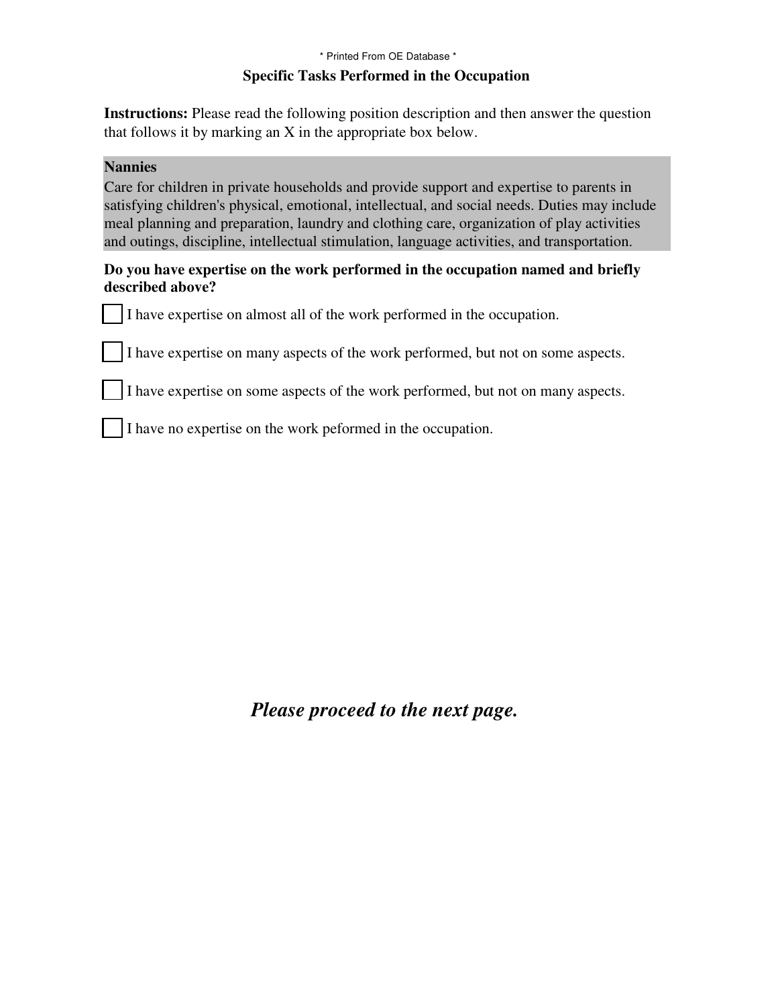## **Specific Tasks Performed in the Occupation** \* Printed From OE Database \*

**Instructions:** Please read the following position description and then answer the question that follows it by marking an X in the appropriate box below.

## **Nannies**

Care for children in private households and provide support and expertise to parents in satisfying children's physical, emotional, intellectual, and social needs. Duties may include meal planning and preparation, laundry and clothing care, organization of play activities and outings, discipline, intellectual stimulation, language activities, and transportation.

## **Do you have expertise on the work performed in the occupation named and briefly described above?**

I have expertise on almost all of the work performed in the occupation.

I have expertise on many aspects of the work performed, but not on some aspects.

I have expertise on some aspects of the work performed, but not on many aspects.

I have no expertise on the work peformed in the occupation.

*Please proceed to the next page.*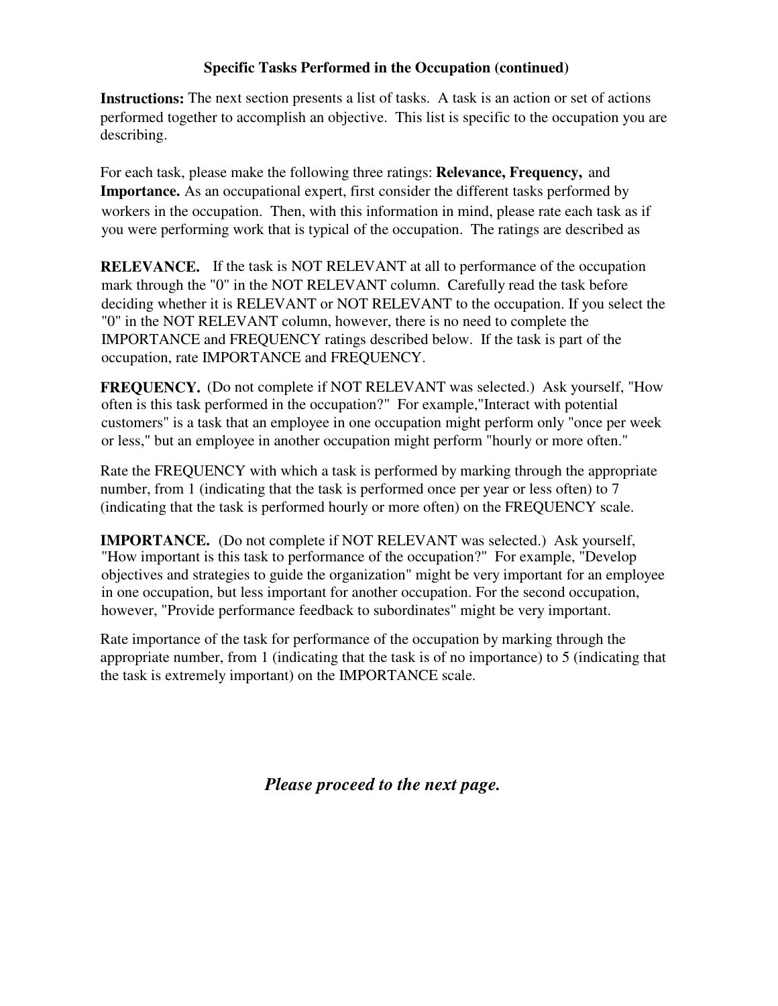## **Specific Tasks Performed in the Occupation (continued)**

The next section presents a list of tasks. A task is an action or set of actions **Instructions:** performed together to accomplish an objective. This list is specific to the occupation you are describing.

For each task, please make the following three ratings: **Relevance, Frequency,** and **Importance.** As an occupational expert, first consider the different tasks performed by workers in the occupation. Then, with this information in mind, please rate each task as if you were performing work that is typical of the occupation. The ratings are described as

**RELEVANCE.** If the task is NOT RELEVANT at all to performance of the occupation mark through the "0" in the NOT RELEVANT column. Carefully read the task before deciding whether it is RELEVANT or NOT RELEVANT to the occupation. If you select the "0" in the NOT RELEVANT column, however, there is no need to complete the IMPORTANCE and FREQUENCY ratings described below. If the task is part of the occupation, rate IMPORTANCE and FREQUENCY.

**FREQUENCY.** (Do not complete if NOT RELEVANT was selected.) Ask yourself, "How often is this task performed in the occupation?" For example,"Interact with potential customers" is a task that an employee in one occupation might perform only "once per week or less," but an employee in another occupation might perform "hourly or more often."

Rate the FREQUENCY with which a task is performed by marking through the appropriate number, from 1 (indicating that the task is performed once per year or less often) to 7 (indicating that the task is performed hourly or more often) on the FREQUENCY scale.

**IMPORTANCE.** (Do not complete if NOT RELEVANT was selected.) Ask yourself. "How important is this task to performance of the occupation?" For example, "Develop objectives and strategies to guide the organization" might be very important for an employee in one occupation, but less important for another occupation. For the second occupation, however, "Provide performance feedback to subordinates" might be very important.

Rate importance of the task for performance of the occupation by marking through the appropriate number, from 1 (indicating that the task is of no importance) to 5 (indicating that the task is extremely important) on the IMPORTANCE scale.

*Please proceed to the next page.*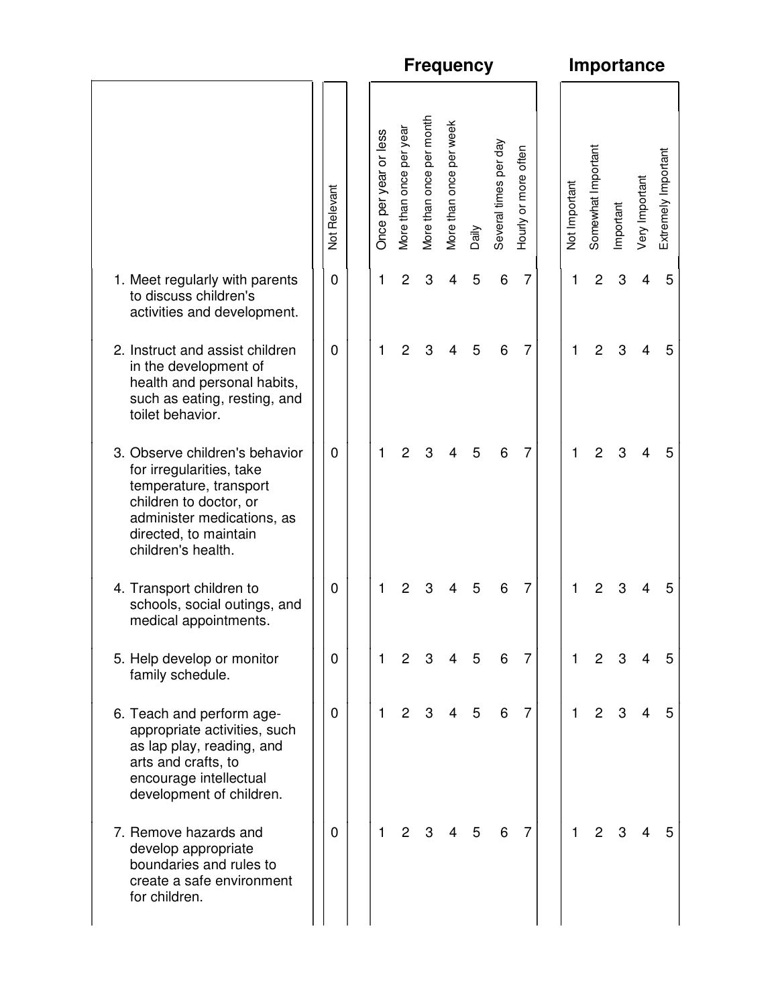|                                                                                                                                                                                             |              | <b>Frequency</b>      |                         |                          |                         |       |                       |                      |  | <b>Importance</b>    |                    |           |                |                     |  |  |  |
|---------------------------------------------------------------------------------------------------------------------------------------------------------------------------------------------|--------------|-----------------------|-------------------------|--------------------------|-------------------------|-------|-----------------------|----------------------|--|----------------------|--------------------|-----------|----------------|---------------------|--|--|--|
|                                                                                                                                                                                             | Not Relevant | Once per year or less | More than once per year | More than once per month | More than once per week | Daily | Several times per day | Hourly or more often |  | <b>Not Important</b> | Somewhat Important | Important | Very Important | Extremely Important |  |  |  |
| 1. Meet regularly with parents<br>to discuss children's<br>activities and development.                                                                                                      | 0            | 1                     | 2                       | 3                        | 4                       | 5     | 6                     | 7                    |  | 1                    | 2                  | 3         | 4              | 5                   |  |  |  |
| 2. Instruct and assist children<br>in the development of<br>health and personal habits,<br>such as eating, resting, and<br>toilet behavior.                                                 | 0            | 1                     | 2                       | 3                        | 4                       | 5     | 6                     | 7                    |  | 1                    | $\overline{c}$     | 3         | 4              | 5                   |  |  |  |
| 3. Observe children's behavior<br>for irregularities, take<br>temperature, transport<br>children to doctor, or<br>administer medications, as<br>directed, to maintain<br>children's health. | $\mathbf 0$  | $\mathbf{1}$          | $\overline{2}$          | 3                        | 4                       | 5     | 6                     | $\overline{7}$       |  | 1                    | $\overline{2}$     | 3         | 4              | 5                   |  |  |  |
| 4. Transport children to<br>schools, social outings, and<br>medical appointments.                                                                                                           | 0            | 1                     | 2                       | 3                        | 4                       | 5     | 6                     | 7                    |  | 1                    | 2                  | 3         | 4              | 5                   |  |  |  |
| 5. Help develop or monitor<br>family schedule.                                                                                                                                              | 0            | $\mathbf{1}$          | $\overline{2}$          | 3                        | 4                       | 5     | 6                     | $\overline{7}$       |  | $\mathbf{1}$         | $\overline{2}$     | 3         | 4              | 5                   |  |  |  |
| 6. Teach and perform age-<br>appropriate activities, such<br>as lap play, reading, and<br>arts and crafts, to<br>encourage intellectual<br>development of children.                         | $\mathbf 0$  | $\mathbf{1}$          | $\overline{2}$          | 3                        | 4                       | 5     | 6                     | 7                    |  | 1                    | $\overline{2}$     | 3         | 4              | 5                   |  |  |  |
| 7. Remove hazards and<br>develop appropriate<br>boundaries and rules to<br>create a safe environment<br>for children.                                                                       | 0            | 1                     | $\mathbf{2}$            | 3                        |                         | 5     | 6                     | $\overline{7}$       |  | 1                    | 2                  |           | 4              |                     |  |  |  |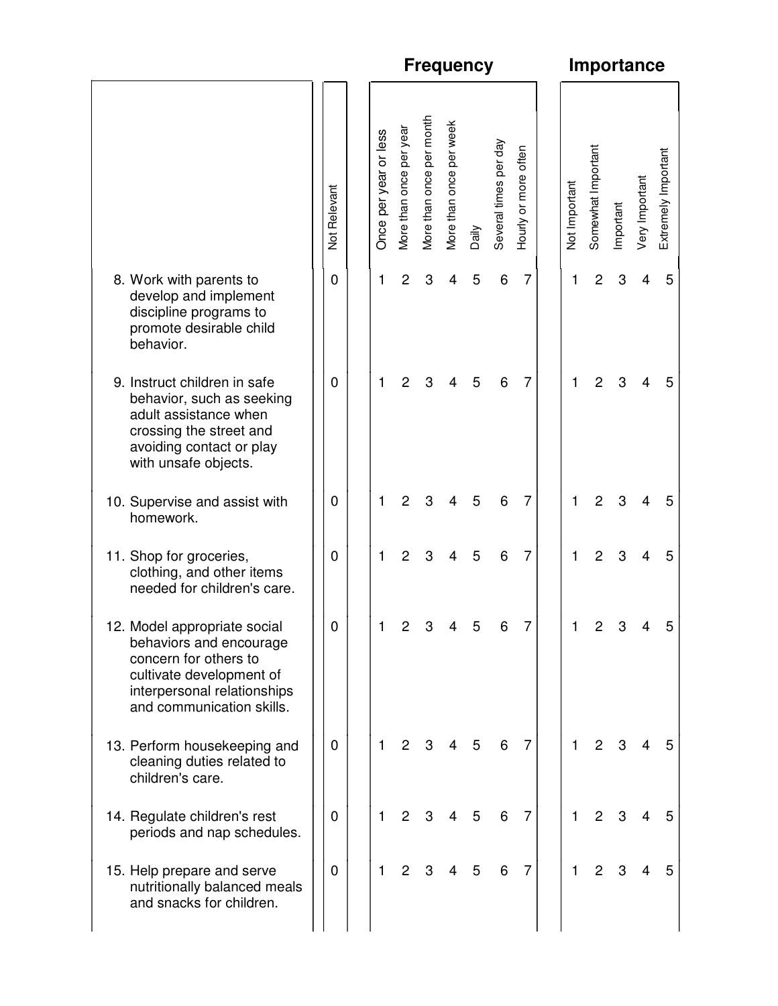|                                                                                                                                                                          |              | <b>Frequency</b>      |                         |                          |                         |       |                       |                      |  | <b>Importance</b>    |                    |           |                |                     |  |  |  |  |
|--------------------------------------------------------------------------------------------------------------------------------------------------------------------------|--------------|-----------------------|-------------------------|--------------------------|-------------------------|-------|-----------------------|----------------------|--|----------------------|--------------------|-----------|----------------|---------------------|--|--|--|--|
|                                                                                                                                                                          | Not Relevant | Once per year or less | More than once per year | More than once per month | More than once per week | Daily | Several times per day | Hourly or more often |  | <b>Not Important</b> | Somewhat Important | Important | Very Important | Extremely Important |  |  |  |  |
| 8. Work with parents to<br>develop and implement<br>discipline programs to<br>promote desirable child<br>behavior.                                                       | 0            | 1                     | $\overline{c}$          | 3                        | 4                       | 5     | 6                     | 7                    |  | 1                    | $\overline{c}$     | 3         | 4              | 5                   |  |  |  |  |
| 9. Instruct children in safe<br>behavior, such as seeking<br>adult assistance when<br>crossing the street and<br>avoiding contact or play<br>with unsafe objects.        | $\mathbf 0$  | 1                     | 2                       | 3                        |                         | 5     | 6                     | 7                    |  | 1                    | 2                  | 3         |                | 5                   |  |  |  |  |
| 10. Supervise and assist with<br>homework.                                                                                                                               | 0            | 1                     | 2                       | 3                        | 4                       | 5     | 6                     | $\overline{7}$       |  | 1                    | $\overline{c}$     | 3         | 4              | 5                   |  |  |  |  |
| 11. Shop for groceries,<br>clothing, and other items<br>needed for children's care.                                                                                      | 0            | 1                     | 2                       | 3                        | 4                       | 5     | 6                     | 7                    |  | 1                    | $\overline{c}$     | 3         | 4              | 5                   |  |  |  |  |
| 12. Model appropriate social<br>behaviors and encourage<br>concern for others to<br>cultivate development of<br>interpersonal relationships<br>and communication skills. | U            |                       | $\mathbf{2}^{\prime}$   |                          | 3 4                     | ა     | 6                     |                      |  |                      | $\overline{2}$     | 3         | 4              |                     |  |  |  |  |
| 13. Perform housekeeping and<br>cleaning duties related to<br>children's care.                                                                                           | $\mathbf 0$  | 1                     | 2                       |                          |                         | 5     | 6                     | $\overline{7}$       |  | 1                    | $\overline{2}$     | 3         |                |                     |  |  |  |  |
| 14. Regulate children's rest<br>periods and nap schedules.                                                                                                               | $\mathbf 0$  | $\mathbf{1}$          | 2                       | 3                        |                         | 5     | 6                     | $\overline{7}$       |  | 1                    | 2                  |           |                |                     |  |  |  |  |
| 15. Help prepare and serve<br>nutritionally balanced meals<br>and snacks for children.                                                                                   | $\mathbf 0$  | $\mathbf{1}$          | $\overline{2}$          | 3                        | 4                       | 5     | 6                     | $\overline{7}$       |  | 1                    | $\overline{2}$     | 3         | 4              |                     |  |  |  |  |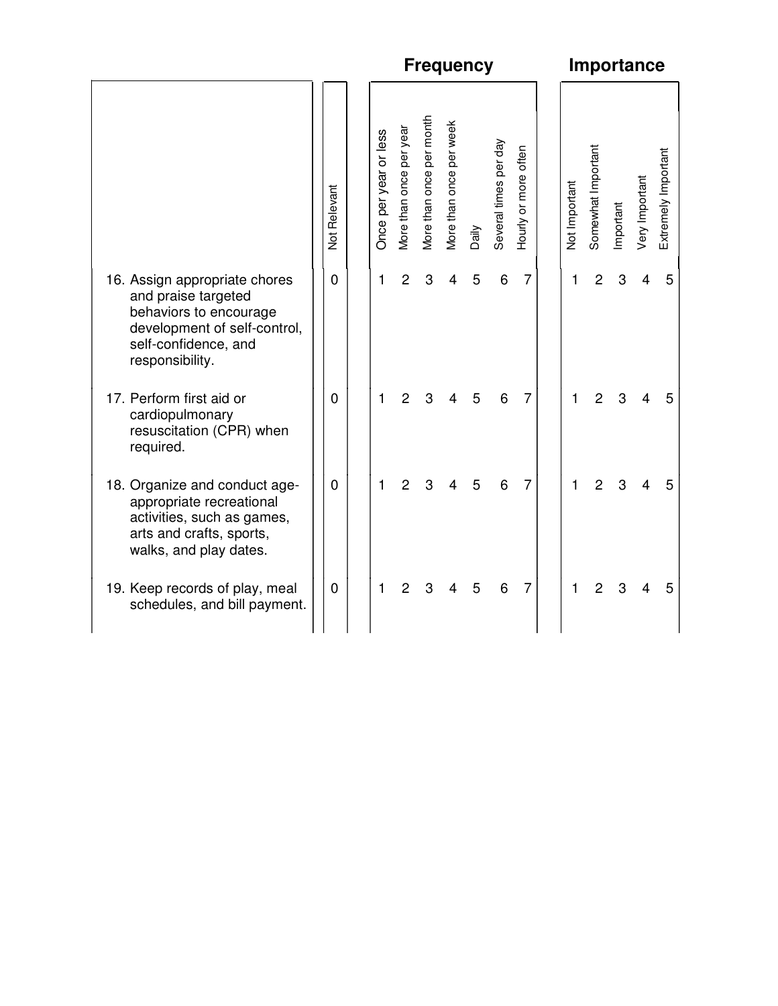|                                                                                                                                                           |                |                       |                         |                          | <b>Frequency</b>        |       |                       | Importance           |               |                    |           |                |                     |  |  |  |  |
|-----------------------------------------------------------------------------------------------------------------------------------------------------------|----------------|-----------------------|-------------------------|--------------------------|-------------------------|-------|-----------------------|----------------------|---------------|--------------------|-----------|----------------|---------------------|--|--|--|--|
|                                                                                                                                                           | Not Relevant   | Once per year or less | More than once per year | More than once per month | More than once per week | Daily | Several times per day | Hourly or more often | Not Important | Somewhat Important | Important | Very Important | Extremely Important |  |  |  |  |
| 16. Assign appropriate chores<br>and praise targeted<br>behaviors to encourage<br>development of self-control,<br>self-confidence, and<br>responsibility. | $\overline{0}$ | 1                     | $\overline{2}$          | 3                        | 4                       | 5     | 6                     | $\overline{7}$       | 1             | $\overline{2}$     | 3         | $\overline{4}$ | 5                   |  |  |  |  |
| 17. Perform first aid or<br>cardiopulmonary<br>resuscitation (CPR) when<br>required.                                                                      | $\Omega$       | 1                     | $\overline{2}$          | 3                        | 4                       | 5     | 6                     | $\overline{7}$       | 1             | $\overline{2}$     | 3         | 4              | 5                   |  |  |  |  |
| 18. Organize and conduct age-<br>appropriate recreational<br>activities, such as games,<br>arts and crafts, sports,<br>walks, and play dates.             | $\mathbf 0$    | 1                     | $\overline{c}$          | 3                        | 4                       | 5     | 6                     | $\overline{7}$       | 1             | $\overline{2}$     | 3         | 4              | 5                   |  |  |  |  |
| 19. Keep records of play, meal<br>schedules, and bill payment.                                                                                            | $\mathbf 0$    | 1                     | $\overline{c}$          | 3                        | 4                       | 5     | 6                     | 7                    | 1             | $\overline{2}$     | 3         | 4              | 5                   |  |  |  |  |